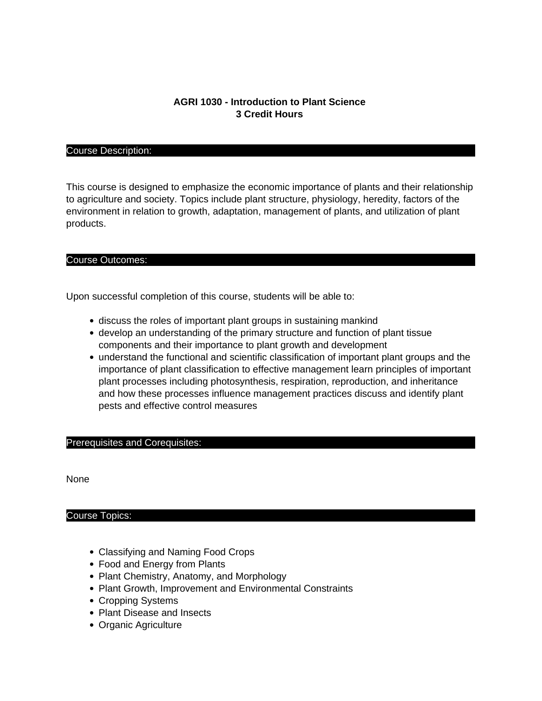# **AGRI 1030 - Introduction to Plant Science 3 Credit Hours**

#### Course Description:

This course is designed to emphasize the economic importance of plants and their relationship to agriculture and society. Topics include plant structure, physiology, heredity, factors of the environment in relation to growth, adaptation, management of plants, and utilization of plant products.

#### Course Outcomes:

Upon successful completion of this course, students will be able to:

- discuss the roles of important plant groups in sustaining mankind
- develop an understanding of the primary structure and function of plant tissue components and their importance to plant growth and development
- understand the functional and scientific classification of important plant groups and the importance of plant classification to effective management learn principles of important plant processes including photosynthesis, respiration, reproduction, and inheritance and how these processes influence management practices discuss and identify plant pests and effective control measures

#### Prerequisites and Corequisites:

None

## Course Topics:

- Classifying and Naming Food Crops
- Food and Energy from Plants
- Plant Chemistry, Anatomy, and Morphology
- Plant Growth, Improvement and Environmental Constraints
- Cropping Systems
- Plant Disease and Insects
- Organic Agriculture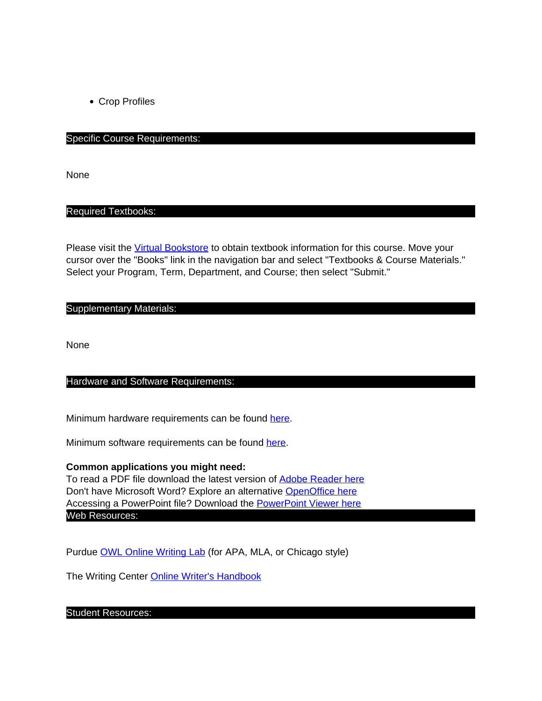Crop Profiles

## Specific Course Requirements:

None

#### Required Textbooks:

Please visit the [Virtual Bookstore](http://www.bkstr.com/tnecampusstore/home/en) to obtain textbook information for this course. Move your cursor over the "Books" link in the navigation bar and select "Textbooks & Course Materials." Select your Program, Term, Department, and Course; then select "Submit."

## Supplementary Materials:

None

## Hardware and Software Requirements:

Minimum hardware requirements can be found here.

Minimum software requirements can be found here.

## **Common applications you might need:**

To read a PDF file download the latest version of **Adobe Reader here** Don't have Microsoft Word? Explore an alternative OpenOffice here Accessing a PowerPoint file? Download the PowerPoint Viewer here Web Resources:

Purdue **OWL Online Writing Lab** (for APA, MLA, or Chicago style)

The Writing Center Online Writer's Handbook

#### Student Resources: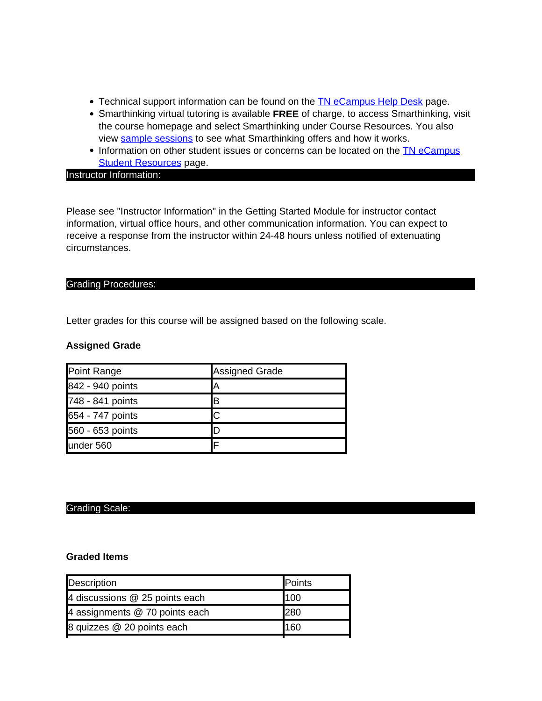- Technical support information can be found on the **TN** eCampus Help Desk page.
- Smarthinking virtual tutoring is available **FREE** of charge. to access Smarthinking, visit the course homepage and select Smarthinking under Course Resources. You also view sample sessions to see what Smarthinking offers and how it works.
- Information on other student issues or concerns can be located on the **TN** eCampus **Student Resources page.**

Instructor Information:

Please see "Instructor Information" in the Getting Started Module for instructor contact information, virtual office hours, and other communication information. You can expect to receive a response from the instructor within 24-48 hours unless notified of extenuating circumstances.

## Grading Procedures:

Letter grades for this course will be assigned based on the following scale.

# **Assigned Grade**

| Point Range      | Assigned Grade |
|------------------|----------------|
| 842 - 940 points | Ά              |
| 748 - 841 points | B              |
| 654 - 747 points | C              |
| 560 - 653 points | D              |
| lunder 560       |                |

# Grading Scale:

## **Graded Items**

| Description                    | <b>Points</b> |
|--------------------------------|---------------|
| 4 discussions @ 25 points each | 100           |
| 4 assignments @ 70 points each | 280           |
| 8 quizzes @ 20 points each     | 160           |
|                                |               |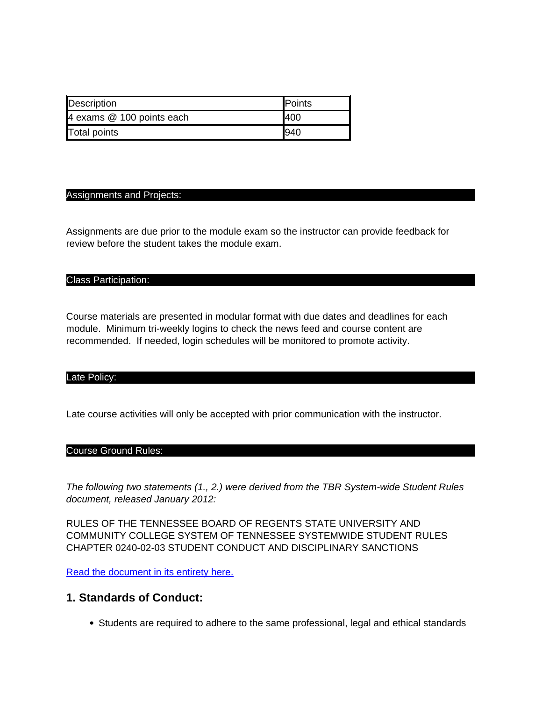| <b>Description</b>        | <b>IPoints</b> |
|---------------------------|----------------|
| 4 exams @ 100 points each | 140C           |
| Total points              | 1940           |

## Assignments and Projects:

Assignments are due prior to the module exam so the instructor can provide feedback for review before the student takes the module exam.

#### Class Participation:

Course materials are presented in modular format with due dates and deadlines for each module. Minimum tri-weekly logins to check the news feed and course content are recommended. If needed, login schedules will be monitored to promote activity.

#### Late Policy:

Late course activities will only be accepted with prior communication with the instructor.

#### Course Ground Rules:

The following two statements (1., 2.) were derived from the TBR System-wide Student Rules document, released January 2012:

RULES OF THE TENNESSEE BOARD OF REGENTS STATE UNIVERSITY AND COMMUNITY COLLEGE SYSTEM OF TENNESSEE SYSTEMWIDE STUDENT RULES CHAPTER 0240-02-03 STUDENT CONDUCT AND DISCIPLINARY SANCTIONS

Read the document in its entirety here.

# **1. Standards of Conduct:**

Students are required to adhere to the same professional, legal and ethical standards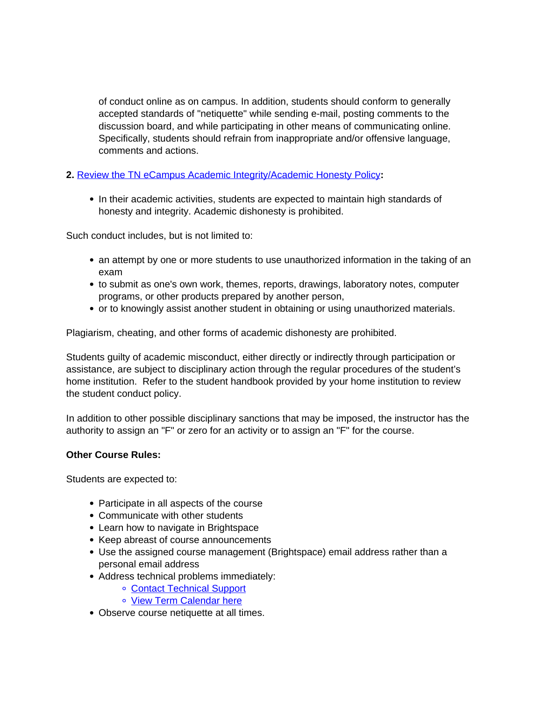of conduct online as on campus. In addition, students should conform to generally accepted standards of "netiquette" while sending e-mail, posting comments to the discussion board, and while participating in other means of communicating online. Specifically, students should refrain from inappropriate and/or offensive language, comments and actions.

# **2.** Review the TN eCampus Academic Integrity/Academic Honesty Policy**:**

• In their academic activities, students are expected to maintain high standards of honesty and integrity. Academic dishonesty is prohibited.

Such conduct includes, but is not limited to:

- an attempt by one or more students to use unauthorized information in the taking of an exam
- to submit as one's own work, themes, reports, drawings, laboratory notes, computer programs, or other products prepared by another person,
- or to knowingly assist another student in obtaining or using unauthorized materials.

Plagiarism, cheating, and other forms of academic dishonesty are prohibited.

Students guilty of academic misconduct, either directly or indirectly through participation or assistance, are subject to disciplinary action through the regular procedures of the student's home institution. Refer to the student handbook provided by your home institution to review the student conduct policy.

In addition to other possible disciplinary sanctions that may be imposed, the instructor has the authority to assign an "F" or zero for an activity or to assign an "F" for the course.

# **Other Course Rules:**

Students are expected to:

- Participate in all aspects of the course
- Communicate with other students
- Learn how to navigate in Brightspace
- Keep abreast of course announcements
- Use the assigned course management (Brightspace) email address rather than a personal email address
- Address technical problems immediately:
	- Contact Technical Support
	- View Term Calendar here
- Observe course netiquette at all times.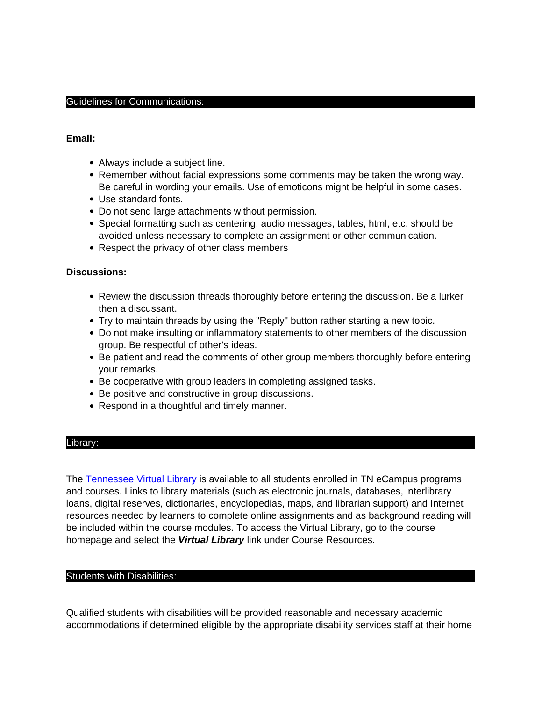#### Guidelines for Communications:

## **Email:**

- Always include a subject line.
- Remember without facial expressions some comments may be taken the wrong way. Be careful in wording your emails. Use of emoticons might be helpful in some cases.
- Use standard fonts.
- Do not send large attachments without permission.
- Special formatting such as centering, audio messages, tables, html, etc. should be avoided unless necessary to complete an assignment or other communication.
- Respect the privacy of other class members

## **Discussions:**

- Review the discussion threads thoroughly before entering the discussion. Be a lurker then a discussant.
- Try to maintain threads by using the "Reply" button rather starting a new topic.
- Do not make insulting or inflammatory statements to other members of the discussion group. Be respectful of other's ideas.
- Be patient and read the comments of other group members thoroughly before entering your remarks.
- Be cooperative with group leaders in completing assigned tasks.
- Be positive and constructive in group discussions.
- Respond in a thoughtful and timely manner.

## Library:

The Tennessee Virtual Library is available to all students enrolled in TN eCampus programs and courses. Links to library materials (such as electronic journals, databases, interlibrary loans, digital reserves, dictionaries, encyclopedias, maps, and librarian support) and Internet resources needed by learners to complete online assignments and as background reading will be included within the course modules. To access the Virtual Library, go to the course homepage and select the **Virtual Library** link under Course Resources.

## Students with Disabilities:

Qualified students with disabilities will be provided reasonable and necessary academic accommodations if determined eligible by the appropriate disability services staff at their home